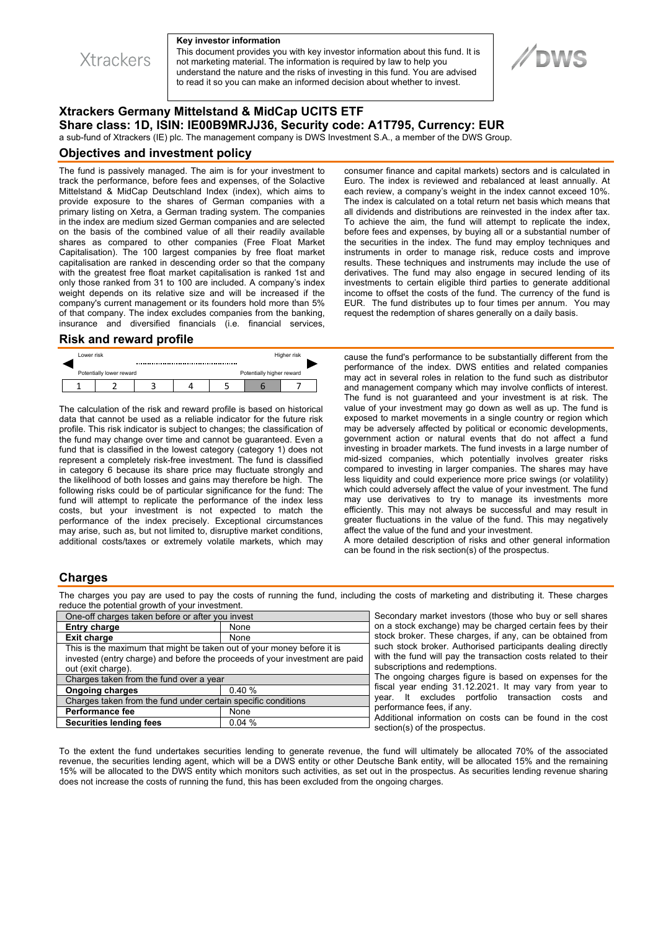**Xtrackers** 

#### **Key investor information**

This document provides you with key investor information about this fund. It is not marketing material. The information is required by law to help you understand the nature and the risks of investing in this fund. You are advised to read it so you can make an informed decision about whether to invest.

# **Xtrackers Germany Mittelstand & MidCap UCITS ETF Share class: 1D, ISIN: IE00B9MRJJ36, Security code: A1T795, Currency: EUR**

a sub-fund of Xtrackers (IE) plc. The management company is DWS Investment S.A., a member of the DWS Group.

#### **Objectives and investment policy**

The fund is passively managed. The aim is for your investment to track the performance, before fees and expenses, of the Solactive Mittelstand & MidCap Deutschland Index (index), which aims to provide exposure to the shares of German companies with a primary listing on Xetra, a German trading system. The companies in the index are medium sized German companies and are selected on the basis of the combined value of all their readily available shares as compared to other companies (Free Float Market Capitalisation). The 100 largest companies by free float market capitalisation are ranked in descending order so that the company with the greatest free float market capitalisation is ranked 1st and only those ranked from 31 to 100 are included. A company's index weight depends on its relative size and will be increased if the company's current management or its founders hold more than 5% of that company. The index excludes companies from the banking, insurance and diversified financials (i.e. financial services,

#### **Risk and reward profile**

| Lower risk |                          |  | Higher risk |                           |  |  |  |
|------------|--------------------------|--|-------------|---------------------------|--|--|--|
|            | Potentially lower reward |  |             | Potentially higher reward |  |  |  |
|            |                          |  |             |                           |  |  |  |

The calculation of the risk and reward profile is based on historical data that cannot be used as a reliable indicator for the future risk profile. This risk indicator is subject to changes; the classification of the fund may change over time and cannot be guaranteed. Even a fund that is classified in the lowest category (category 1) does not represent a completely risk-free investment. The fund is classified in category 6 because its share price may fluctuate strongly and the likelihood of both losses and gains may therefore be high. The following risks could be of particular significance for the fund: The fund will attempt to replicate the performance of the index less costs, but your investment is not expected to match the performance of the index precisely. Exceptional circumstances may arise, such as, but not limited to, disruptive market conditions, additional costs/taxes or extremely volatile markets, which may consumer finance and capital markets) sectors and is calculated in Euro. The index is reviewed and rebalanced at least annually. At each review, a company's weight in the index cannot exceed 10%. The index is calculated on a total return net basis which means that all dividends and distributions are reinvested in the index after tax. To achieve the aim, the fund will attempt to replicate the index, before fees and expenses, by buying all or a substantial number of the securities in the index. The fund may employ techniques and instruments in order to manage risk, reduce costs and improve results. These techniques and instruments may include the use of derivatives. The fund may also engage in secured lending of its investments to certain eligible third parties to generate additional income to offset the costs of the fund. The currency of the fund is EUR. The fund distributes up to four times per annum. You may request the redemption of shares generally on a daily basis.

**//DWS** 

cause the fund's performance to be substantially different from the performance of the index. DWS entities and related companies may act in several roles in relation to the fund such as distributor and management company which may involve conflicts of interest. The fund is not guaranteed and your investment is at risk. The value of your investment may go down as well as up. The fund is exposed to market movements in a single country or region which may be adversely affected by political or economic developments, government action or natural events that do not affect a fund investing in broader markets. The fund invests in a large number of mid-sized companies, which potentially involves greater risks compared to investing in larger companies. The shares may have less liquidity and could experience more price swings (or volatility) which could adversely affect the value of your investment. The fund may use derivatives to try to manage its investments more efficiently. This may not always be successful and may result in greater fluctuations in the value of the fund. This may negatively affect the value of the fund and your investment.

A more detailed description of risks and other general information can be found in the risk section(s) of the prospectus.

#### **Charges**

The charges you pay are used to pay the costs of running the fund, including the costs of marketing and distributing it. These charges reduce the potential growth of your investment.

| One-off charges taken before or after you invest                            |       |  |  |  |
|-----------------------------------------------------------------------------|-------|--|--|--|
| <b>Entry charge</b>                                                         | None  |  |  |  |
| <b>Exit charge</b>                                                          | None  |  |  |  |
| This is the maximum that might be taken out of your money before it is      |       |  |  |  |
| invested (entry charge) and before the proceeds of your investment are paid |       |  |  |  |
| out (exit charge).                                                          |       |  |  |  |
| Charges taken from the fund over a year                                     |       |  |  |  |
| <b>Ongoing charges</b>                                                      | 0.40% |  |  |  |
| Charges taken from the fund under certain specific conditions               |       |  |  |  |
| <b>Performance fee</b>                                                      | None  |  |  |  |
| <b>Securities lending fees</b>                                              | 0.04% |  |  |  |

Secondary market investors (those who buy or sell shares on a stock exchange) may be charged certain fees by their stock broker. These charges, if any, can be obtained from such stock broker. Authorised participants dealing directly with the fund will pay the transaction costs related to their subscriptions and redemptions. The ongoing charges figure is based on expenses for the

fiscal year ending 31.12.2021. It may vary from year to year. It excludes portfolio transaction costs and performance fees, if any.

Additional information on costs can be found in the cost section(s) of the prospectus.

To the extent the fund undertakes securities lending to generate revenue, the fund will ultimately be allocated 70% of the associated revenue, the securities lending agent, which will be a DWS entity or other Deutsche Bank entity, will be allocated 15% and the remaining 15% will be allocated to the DWS entity which monitors such activities, as set out in the prospectus. As securities lending revenue sharing does not increase the costs of running the fund, this has been excluded from the ongoing charges.